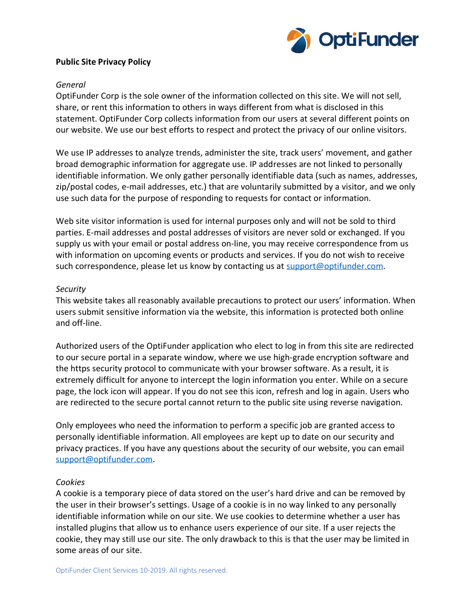

# **Public Site Privacy Policy**

### *General*

OptiFunder Corp is the sole owner of the information collected on this site. We will not sell, share, or rent this information to others in ways different from what is disclosed in this statement. OptiFunder Corp collects information from our users at several different points on our website. We use our best efforts to respect and protect the privacy of our online visitors.

We use IP addresses to analyze trends, administer the site, track users' movement, and gather broad demographic information for aggregate use. IP addresses are not linked to personally identifiable information. We only gather personally identifiable data (such as names, addresses, zip/postal codes, e-mail addresses, etc.) that are voluntarily submitted by a visitor, and we only use such data for the purpose of responding to requests for contact or information.

Web site visitor information is used for internal purposes only and will not be sold to third parties. E-mail addresses and postal addresses of visitors are never sold or exchanged. If you supply us with your email or postal address on-line, you may receive correspondence from us with information on upcoming events or products and services. If you do not wish to receive such correspondence, please let us know by contacting us at [support@optifunder.com.](mailto:support@optifunder.com)

### *Security*

This website takes all reasonably available precautions to protect our users' information. When users submit sensitive information via the website, this information is protected both online and off-line.

Authorized users of the OptiFunder application who elect to log in from this site are redirected to our secure portal in a separate window, where we use high-grade encryption software and the https security protocol to communicate with your browser software. As a result, it is extremely difficult for anyone to intercept the login information you enter. While on a secure page, the lock icon will appear. If you do not see this icon, refresh and log in again. Users who are redirected to the secure portal cannot return to the public site using reverse navigation.

Only employees who need the information to perform a specific job are granted access to personally identifiable information. All employees are kept up to date on our security and privacy practices. If you have any questions about the security of our website, you can email [support@optifunder.com.](mailto:support@optifunder.com)

#### *Cookies*

A cookie is a temporary piece of data stored on the user's hard drive and can be removed by the user in their browser's settings. Usage of a cookie is in no way linked to any personally identifiable information while on our site. We use cookies to determine whether a user has installed plugins that allow us to enhance users experience of our site. If a user rejects the cookie, they may still use our site. The only drawback to this is that the user may be limited in some areas of our site.